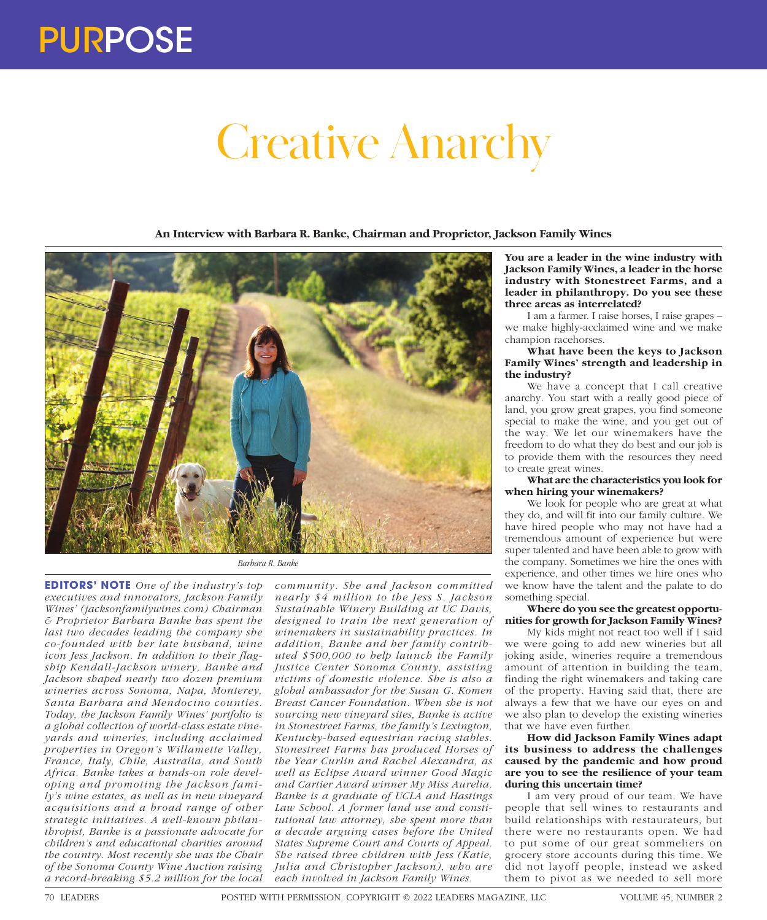

# Creative Anarchy

**An Interview with Barbara R. Banke, Chairman and Proprietor, Jackson Family Wines**



*Barbara R. Banke*

**EDITORS' NOTE** *One of the industry's top executives and innovators, Jackson Family Wines' (jacksonfamilywines.com) Chairman & Proprietor Barbara Banke has spent the last two decades leading the company she co-founded with her late husband, wine icon Jess Jackson. In addition to their flagship Kendall-Jackson winery, Banke and Jackson shaped nearly two dozen premium wineries across Sonoma, Napa, Monterey, Santa Barbara and Mendocino counties. Today, the Jackson Family Wines' portfolio is a global collection of world-class estate vineyards and wineries, including acclaimed properties in Oregon's Willamette Valley, France, Italy, Chile, Australia, and South Africa. Banke takes a hands-on role developing and promoting the Jackson family's wine estates, as well as in new vineyard acquisitions and a broad range of other strategic initiatives. A well-known philanthropist, Banke is a passionate advocate for children's and educational charities around the country. Most recently she was the Chair of the Sonoma County Wine Auction raising a record-breaking \$5.2 million for the local* 

*community. She and Jackson committed nearly \$4 million to the Jess S. Jackson Sustainable Winery Building at UC Davis, designed to train the next generation of winemakers in sustainability practices. In addition, Banke and her family contributed \$500,000 to help launch the Family Justice Center Sonoma County, assisting victims of domestic violence. She is also a global ambassador for the Susan G. Komen Breast Cancer Foundation. When she is not sourcing new vineyard sites, Banke is active in Stonestreet Farms, the family's Lexington, Kentucky-based equestrian racing stables. Stonestreet Farms has produced Horses of the Year Curlin and Rachel Alexandra, as well as Eclipse Award winner Good Magic and Cartier Award winner My Miss Aurelia. Banke is a graduate of UCLA and Hastings Law School. A former land use and constitutional law attorney, she spent more than a decade arguing cases before the United States Supreme Court and Courts of Appeal. She raised three children with Jess (Katie, Julia and Christopher Jackson), who are each involved in Jackson Family Wines.*

**You are a leader in the wine industry with Jackson Family Wines, a leader in the horse industry with Stonestreet Farms, and a leader in philanthropy. Do you see these three areas as interrelated?**

I am a farmer. I raise horses, I raise grapes – we make highly-acclaimed wine and we make champion racehorses.

# **What have been the keys to Jackson Family Wines' strength and leadership in the industry?**

We have a concept that I call creative anarchy. You start with a really good piece of land, you grow great grapes, you find someone special to make the wine, and you get out of the way. We let our winemakers have the freedom to do what they do best and our job is to provide them with the resources they need to create great wines.

#### **What are the characteristics you look for when hiring your winemakers?**

We look for people who are great at what they do, and will fit into our family culture. We have hired people who may not have had a tremendous amount of experience but were super talented and have been able to grow with the company. Sometimes we hire the ones with experience, and other times we hire ones who we know have the talent and the palate to do something special.

## **Where do you see the greatest opportunities for growth for Jackson Family Wines?**

My kids might not react too well if I said we were going to add new wineries but all joking aside, wineries require a tremendous amount of attention in building the team, finding the right winemakers and taking care of the property. Having said that, there are always a few that we have our eyes on and we also plan to develop the existing wineries that we have even further.

**How did Jackson Family Wines adapt its business to address the challenges caused by the pandemic and how proud are you to see the resilience of your team during this uncertain time?**

I am very proud of our team. We have people that sell wines to restaurants and build relationships with restaurateurs, but there were no restaurants open. We had to put some of our great sommeliers on grocery store accounts during this time. We did not layoff people, instead we asked them to pivot as we needed to sell more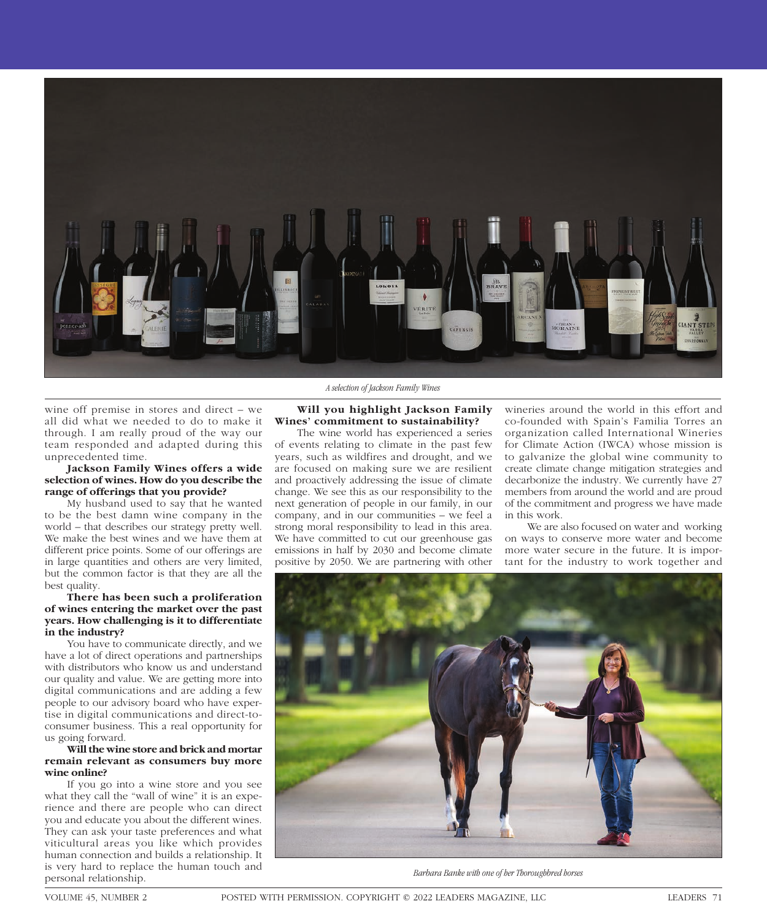

wine off premise in stores and direct – we all did what we needed to do to make it through. I am really proud of the way our team responded and adapted during this unprecedented time.

## **Jackson Family Wines offers a wide selection of wines. How do you describe the range of offerings that you provide?**

My husband used to say that he wanted to be the best damn wine company in the world – that describes our strategy pretty well. We make the best wines and we have them at different price points. Some of our offerings are in large quantities and others are very limited, but the common factor is that they are all the best quality.

## **There has been such a proliferation of wines entering the market over the past years. How challenging is it to differentiate in the industry?**

You have to communicate directly, and we have a lot of direct operations and partnerships with distributors who know us and understand our quality and value. We are getting more into digital communications and are adding a few people to our advisory board who have expertise in digital communications and direct-toconsumer business. This a real opportunity for us going forward.

## **Will the wine store and brick and mortar remain relevant as consumers buy more wine online?**

If you go into a wine store and you see what they call the "wall of wine" it is an experience and there are people who can direct you and educate you about the different wines. They can ask your taste preferences and what viticultural areas you like which provides human connection and builds a relationship. It is very hard to replace the human touch and personal relationship.

# *A selection of Jackson Family Wines*

## **Will you highlight Jackson Family Wines' commitment to sustainability?**

The wine world has experienced a series of events relating to climate in the past few years, such as wildfires and drought, and we are focused on making sure we are resilient and proactively addressing the issue of climate change. We see this as our responsibility to the next generation of people in our family, in our company, and in our communities – we feel a strong moral responsibility to lead in this area. We have committed to cut our greenhouse gas emissions in half by 2030 and become climate positive by 2050. We are partnering with other

wineries around the world in this effort and co-founded with Spain's Familia Torres an organization called International Wineries for Climate Action (IWCA) whose mission is to galvanize the global wine community to create climate change mitigation strategies and decarbonize the industry. We currently have 27 members from around the world and are proud of the commitment and progress we have made in this work.

We are also focused on water and working on ways to conserve more water and become more water secure in the future. It is important for the industry to work together and



*Barbara Banke with one of her Thoroughbred horses*